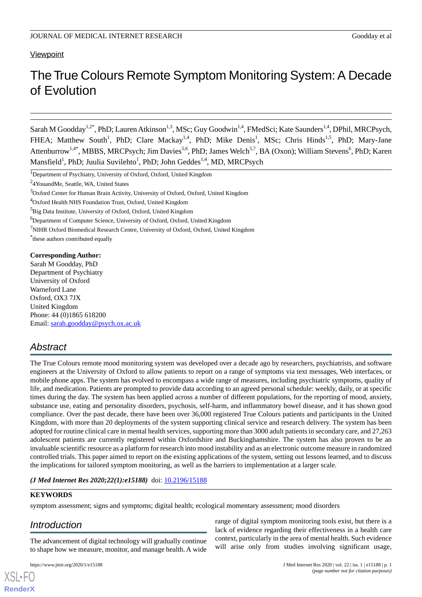# **Viewpoint**

# The True Colours Remote Symptom Monitoring System: A Decade of Evolution

Sarah M Goodday<sup>1,2\*</sup>, PhD; Lauren Atkinson<sup>1,3</sup>, MSc; Guy Goodwin<sup>1,4</sup>, FMedSci; Kate Saunders<sup>1,4</sup>, DPhil, MRCPsych, FHEA; Matthew South<sup>1</sup>, PhD; Clare Mackay<sup>1,4</sup>, PhD; Mike Denis<sup>1</sup>, MSc; Chris Hinds<sup>1,5</sup>, PhD; Mary-Jane Attenburrow<sup>1,4\*</sup>, MBBS, MRCPsych; Jim Davies<sup>5,6</sup>, PhD; James Welch<sup>5,7</sup>, BA (Oxon); William Stevens<sup>6</sup>, PhD; Karen Mansfield<sup>1</sup>, PhD; Juulia Suvilehto<sup>1</sup>, PhD; John Geddes<sup>1,4</sup>, MD, MRCPsych

<sup>7</sup>NIHR Oxford Biomedical Research Centre, University of Oxford, Oxford, United Kingdom

\* these authors contributed equally

## **Corresponding Author:**

Sarah M Goodday, PhD Department of Psychiatry University of Oxford Warneford Lane Oxford, OX3 7JX United Kingdom Phone: 44 (0)1865 618200 Email: [sarah.goodday@psych.ox.ac.uk](mailto:sarah.goodday@psych.ox.ac.uk)

# *Abstract*

The True Colours remote mood monitoring system was developed over a decade ago by researchers, psychiatrists, and software engineers at the University of Oxford to allow patients to report on a range of symptoms via text messages, Web interfaces, or mobile phone apps. The system has evolved to encompass a wide range of measures, including psychiatric symptoms, quality of life, and medication. Patients are prompted to provide data according to an agreed personal schedule: weekly, daily, or at specific times during the day. The system has been applied across a number of different populations, for the reporting of mood, anxiety, substance use, eating and personality disorders, psychosis, self-harm, and inflammatory bowel disease, and it has shown good compliance. Over the past decade, there have been over 36,000 registered True Colours patients and participants in the United Kingdom, with more than 20 deployments of the system supporting clinical service and research delivery. The system has been adopted for routine clinical care in mental health services, supporting more than 3000 adult patients in secondary care, and 27,263 adolescent patients are currently registered within Oxfordshire and Buckinghamshire. The system has also proven to be an invaluable scientific resource as a platform for research into mood instability and as an electronic outcome measure in randomized controlled trials. This paper aimed to report on the existing applications of the system, setting out lessons learned, and to discuss the implications for tailored symptom monitoring, as well as the barriers to implementation at a larger scale.

## *(J Med Internet Res 2020;22(1):e15188)* doi:  $10.2196/15188$

## **KEYWORDS**

[XSL](http://www.w3.org/Style/XSL)•FO **[RenderX](http://www.renderx.com/)**

symptom assessment; signs and symptoms; digital health; ecological momentary assessment; mood disorders

# *Introduction*

The advancement of digital technology will gradually continue to shape how we measure, monitor, and manage health. A wide

lack of evidence regarding their effectiveness in a health care context, particularly in the area of mental health. Such evidence will arise only from studies involving significant usage,

range of digital symptom monitoring tools exist, but there is a

<sup>&</sup>lt;sup>1</sup>Department of Psychiatry, University of Oxford, Oxford, United Kingdom

<sup>&</sup>lt;sup>2</sup>4YouandMe, Seattle, WA, United States

<sup>3</sup>Oxford Center for Human Brain Activity, University of Oxford, Oxford, United Kingdom

<sup>4</sup>Oxford Health NHS Foundation Trust, Oxford, United Kingdom

<sup>&</sup>lt;sup>5</sup>Big Data Institute, University of Oxford, Oxford, United Kingdom

<sup>&</sup>lt;sup>6</sup>Department of Computer Science, University of Oxford, Oxford, United Kingdom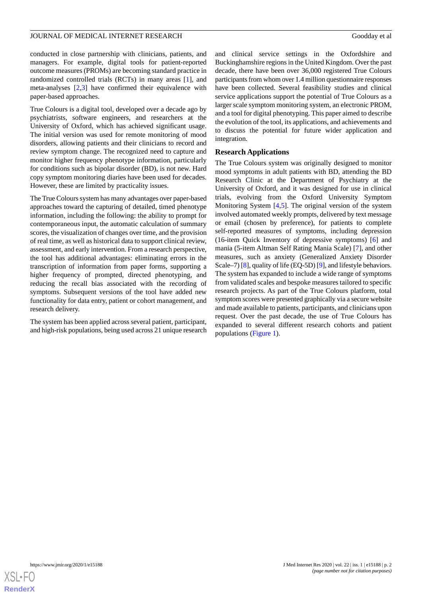conducted in close partnership with clinicians, patients, and managers. For example, digital tools for patient-reported outcome measures (PROMs) are becoming standard practice in randomized controlled trials (RCTs) in many areas [\[1](#page-6-0)], and meta-analyses [[2,](#page-6-1)[3](#page-6-2)] have confirmed their equivalence with paper-based approaches.

True Colours is a digital tool, developed over a decade ago by psychiatrists, software engineers, and researchers at the University of Oxford, which has achieved significant usage. The initial version was used for remote monitoring of mood disorders, allowing patients and their clinicians to record and review symptom change. The recognized need to capture and monitor higher frequency phenotype information, particularly for conditions such as bipolar disorder (BD), is not new. Hard copy symptom monitoring diaries have been used for decades. However, these are limited by practicality issues.

The True Colours system has many advantages over paper-based approaches toward the capturing of detailed, timed phenotype information, including the following: the ability to prompt for contemporaneous input, the automatic calculation of summary scores, the visualization of changes over time, and the provision of real time, as well as historical data to support clinical review, assessment, and early intervention. From a research perspective, the tool has additional advantages: eliminating errors in the transcription of information from paper forms, supporting a higher frequency of prompted, directed phenotyping, and reducing the recall bias associated with the recording of symptoms. Subsequent versions of the tool have added new functionality for data entry, patient or cohort management, and research delivery.

The system has been applied across several patient, participant, and high-risk populations, being used across 21 unique research and clinical service settings in the Oxfordshire and Buckinghamshire regions in the United Kingdom. Over the past decade, there have been over 36,000 registered True Colours participants from whom over 1.4 million questionnaire responses have been collected. Several feasibility studies and clinical service applications support the potential of True Colours as a larger scale symptom monitoring system, an electronic PROM, and a tool for digital phenotyping. This paper aimed to describe the evolution of the tool, its applications, and achievements and to discuss the potential for future wider application and integration.

#### **Research Applications**

The True Colours system was originally designed to monitor mood symptoms in adult patients with BD, attending the BD Research Clinic at the Department of Psychiatry at the University of Oxford, and it was designed for use in clinical trials, evolving from the Oxford University Symptom Monitoring System [\[4](#page-6-3),[5\]](#page-6-4). The original version of the system involved automated weekly prompts, delivered by text message or email (chosen by preference), for patients to complete self-reported measures of symptoms, including depression (16-item Quick Inventory of depressive symptoms) [[6](#page-6-5)] and mania (5-item Altman Self Rating Mania Scale) [[7\]](#page-7-0), and other measures, such as anxiety (Generalized Anxiety Disorder Scale–7) [\[8](#page-7-1)], quality of life (EQ-5D) [\[9](#page-7-2)], and lifestyle behaviors. The system has expanded to include a wide range of symptoms from validated scales and bespoke measures tailored to specific research projects. As part of the True Colours platform, total symptom scores were presented graphically via a secure website and made available to patients, participants, and clinicians upon request. Over the past decade, the use of True Colours has expanded to several different research cohorts and patient populations [\(Figure 1\)](#page-2-0).

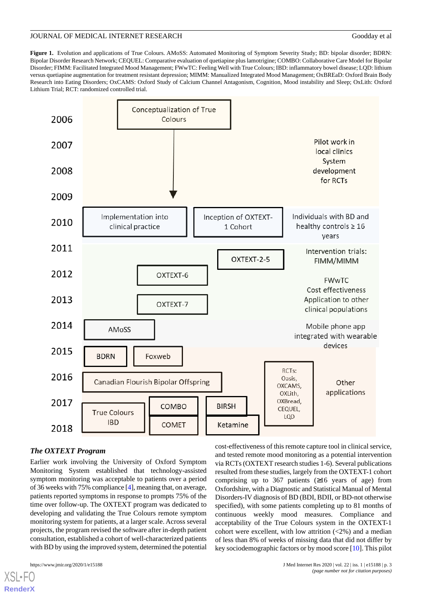<span id="page-2-0"></span>**Figure 1.** Evolution and applications of True Colours. AMoSS: Automated Monitoring of Symptom Severity Study; BD: bipolar disorder; BDRN: Bipolar Disorder Research Network; CEQUEL: Comparative evaluation of quetiapine plus lamotrigine; COMBO: Collaborative Care Model for Bipolar Disorder; FIMM: Facilitated Integrated Mood Management; FWwTC: Feeling Well with True Colours; IBD: inflammatory bowel disease; LQD: lithium versus quetiapine augmentation for treatment resistant depression; MIMM: Manualized Integrated Mood Management; OxBREaD: Oxford Brain Body Research into Eating Disorders; OxCAMS: Oxford Study of Calcium Channel Antagonism, Cognition, Mood instability and Sleep; OxLith: Oxford Lithium Trial; RCT: randomized controlled trial.



# *The OXTEXT Program*

Earlier work involving the University of Oxford Symptom Monitoring System established that technology-assisted symptom monitoring was acceptable to patients over a period of 36 weeks with 75% compliance [\[4](#page-6-3)], meaning that, on average, patients reported symptoms in response to prompts 75% of the time over follow-up. The OXTEXT program was dedicated to developing and validating the True Colours remote symptom monitoring system for patients, at a larger scale. Across several projects, the program revised the software after in-depth patient consultation, established a cohort of well-characterized patients with BD by using the improved system, determined the potential

[XSL](http://www.w3.org/Style/XSL)•FO **[RenderX](http://www.renderx.com/)**

cost-effectiveness of this remote capture tool in clinical service, and tested remote mood monitoring as a potential intervention via RCTs (OXTEXT research studies 1-6). Several publications resulted from these studies, largely from the OXTEXT-1 cohort comprising up to 367 patients  $(≥16$  years of age) from Oxfordshire, with a Diagnostic and Statistical Manual of Mental Disorders-IV diagnosis of BD (BDI, BDII, or BD-not otherwise specified), with some patients completing up to 81 months of continuous weekly mood measures. Compliance and acceptability of the True Colours system in the OXTEXT-1 cohort were excellent, with low attrition  $\left( < 2\% \right)$  and a median of less than 8% of weeks of missing data that did not differ by key sociodemographic factors or by mood score [\[10](#page-7-3)]. This pilot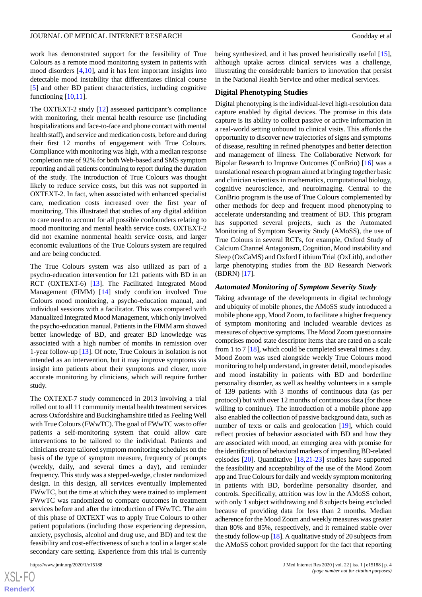work has demonstrated support for the feasibility of True Colours as a remote mood monitoring system in patients with mood disorders [[4](#page-6-3)[,10](#page-7-3)], and it has lent important insights into detectable mood instability that differentiates clinical course [[5\]](#page-6-4) and other BD patient characteristics, including cognitive functioning [\[10](#page-7-3),[11\]](#page-7-4).

The OXTEXT-2 study [[12\]](#page-7-5) assessed participant's compliance with monitoring, their mental health resource use (including hospitalizations and face-to-face and phone contact with mental health staff), and service and medication costs, before and during their first 12 months of engagement with True Colours. Compliance with monitoring was high, with a median response completion rate of 92% for both Web-based and SMS symptom reporting and all patients continuing to report during the duration of the study. The introduction of True Colours was thought likely to reduce service costs, but this was not supported in OXTEXT-2. In fact, when associated with enhanced specialist care, medication costs increased over the first year of monitoring. This illustrated that studies of any digital addition to care need to account for all possible confounders relating to mood monitoring and mental health service costs. OXTEXT-2 did not examine nonmental health service costs, and larger economic evaluations of the True Colours system are required and are being conducted.

The True Colours system was also utilized as part of a psycho-education intervention for 121 patients with BD in an RCT (OXTEXT-6) [[13\]](#page-7-6). The Facilitated Integrated Mood Management (FIMM) [\[14](#page-7-7)] study condition involved True Colours mood monitoring, a psycho-education manual, and individual sessions with a facilitator. This was compared with Manualized Integrated Mood Management, which only involved the psycho-education manual. Patients in the FIMM arm showed better knowledge of BD, and greater BD knowledge was associated with a high number of months in remission over 1-year follow-up [\[13](#page-7-6)]. Of note, True Colours in isolation is not intended as an intervention, but it may improve symptoms via insight into patients about their symptoms and closer, more accurate monitoring by clinicians, which will require further study.

The OXTEXT-7 study commenced in 2013 involving a trial rolled out to all 11 community mental health treatment services across Oxfordshire and Buckinghamshire titled as Feeling Well with True Colours (FWwTC). The goal of FWwTC was to offer patients a self-monitoring system that could allow care interventions to be tailored to the individual. Patients and clinicians create tailored symptom monitoring schedules on the basis of the type of symptom measure, frequency of prompts (weekly, daily, and several times a day), and reminder frequency. This study was a stepped-wedge, cluster randomized design. In this design, all services eventually implemented FWwTC, but the time at which they were trained to implement FWwTC was randomized to compare outcomes in treatment services before and after the introduction of FWwTC. The aim of this phase of OXTEXT was to apply True Colours to other patient populations (including those experiencing depression, anxiety, psychosis, alcohol and drug use, and BD) and test the feasibility and cost-effectiveness of such a tool in a larger scale secondary care setting. Experience from this trial is currently

being synthesized, and it has proved heuristically useful [[15\]](#page-7-8), although uptake across clinical services was a challenge, illustrating the considerable barriers to innovation that persist in the National Health Service and other medical services.

#### **Digital Phenotyping Studies**

Digital phenotyping is the individual-level high-resolution data capture enabled by digital devices. The promise in this data capture is its ability to collect passive or active information in a real-world setting unbound to clinical visits. This affords the opportunity to discover new trajectories of signs and symptoms of disease, resulting in refined phenotypes and better detection and management of illness. The Collaborative Network for Bipolar Research to Improve Outcomes (ConBrio) [[16\]](#page-7-9) was a translational research program aimed at bringing together basic and clinician scientists in mathematics, computational biology, cognitive neuroscience, and neuroimaging. Central to the ConBrio program is the use of True Colours complemented by other methods for deep and frequent mood phenotyping to accelerate understanding and treatment of BD. This program has supported several projects, such as the Automated Monitoring of Symptom Severity Study (AMoSS), the use of True Colours in several RCTs, for example, Oxford Study of Calcium Channel Antagonism, Cognition, Mood instability and Sleep (OxCaMS) and Oxford Lithium Trial (OxLith), and other large phenotyping studies from the BD Research Network (BDRN) [[17\]](#page-7-10).

#### *Automated Monitoring of Symptom Severity Study*

Taking advantage of the developments in digital technology and ubiquity of mobile phones, the AMoSS study introduced a mobile phone app, Mood Zoom, to facilitate a higher frequency of symptom monitoring and included wearable devices as measures of objective symptoms. The Mood Zoom questionnaire comprises mood state descriptor items that are rated on a scale from 1 to 7 [\[18](#page-7-11)], which could be completed several times a day. Mood Zoom was used alongside weekly True Colours mood monitoring to help understand, in greater detail, mood episodes and mood instability in patients with BD and borderline personality disorder, as well as healthy volunteers in a sample of 139 patients with 3 months of continuous data (as per protocol) but with over 12 months of continuous data (for those willing to continue). The introduction of a mobile phone app also enabled the collection of passive background data, such as number of texts or calls and geolocation [[19\]](#page-7-12), which could reflect proxies of behavior associated with BD and how they are associated with mood, an emerging area with promise for the identification of behavioral markers of impending BD-related episodes [\[20](#page-7-13)]. Quantitative [[18,](#page-7-11)[21](#page-7-14)-[23\]](#page-7-15) studies have supported the feasibility and acceptability of the use of the Mood Zoom app and True Colours for daily and weekly symptom monitoring in patients with BD, borderline personality disorder, and controls. Specifically, attrition was low in the AMoSS cohort, with only 1 subject withdrawing and 8 subjects being excluded because of providing data for less than 2 months. Median adherence for the Mood Zoom and weekly measures was greater than 80% and 85%, respectively, and it remained stable over the study follow-up  $[18]$ . A qualitative study of 20 subjects from the AMoSS cohort provided support for the fact that reporting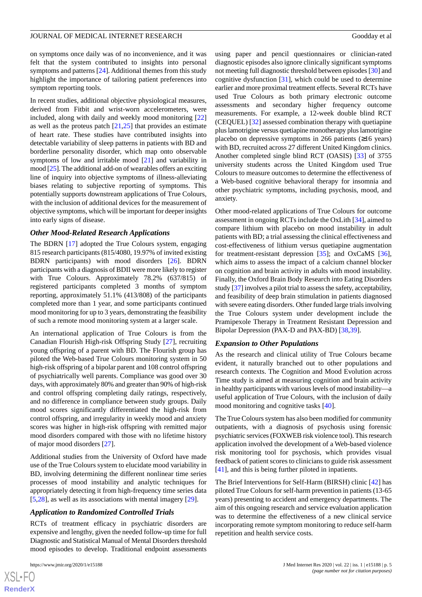on symptoms once daily was of no inconvenience, and it was felt that the system contributed to insights into personal symptoms and patterns [\[24](#page-7-16)]. Additional themes from this study highlight the importance of tailoring patient preferences into symptom reporting tools.

In recent studies, additional objective physiological measures, derived from Fitbit and wrist-worn accelerometers, were included, along with daily and weekly mood monitoring [\[22](#page-7-17)] as well as the proteus patch  $[21,25]$  $[21,25]$  $[21,25]$  that provides an estimate of heart rate. These studies have contributed insights into detectable variability of sleep patterns in patients with BD and borderline personality disorder, which map onto observable symptoms of low and irritable mood [\[21](#page-7-14)] and variability in mood [\[25\]](#page-7-18). The additional add-on of wearables offers an exciting line of inquiry into objective symptoms of illness-alleviating biases relating to subjective reporting of symptoms. This potentially supports downstream applications of True Colours, with the inclusion of additional devices for the measurement of objective symptoms, which will be important for deeper insights into early signs of disease.

#### *Other Mood-Related Research Applications*

The BDRN [\[17](#page-7-10)] adopted the True Colours system, engaging 815 research participants (815/4080, 19.97% of invited existing BDRN participants) with mood disorders [\[26](#page-7-19)]. BDRN participants with a diagnosis of BDII were more likely to register with True Colours. Approximately 78.2% (637/815) of registered participants completed 3 months of symptom reporting, approximately 51.1% (413/808) of the participants completed more than 1 year, and some participants continued mood monitoring for up to 3 years, demonstrating the feasibility of such a remote mood monitoring system at a larger scale.

An international application of True Colours is from the Canadian Flourish High-risk Offspring Study [[27\]](#page-7-20), recruiting young offspring of a parent with BD. The Flourish group has piloted the Web-based True Colours monitoring system in 50 high-risk offspring of a bipolar parent and 108 control offspring of psychiatrically well parents. Compliance was good over 30 days, with approximately 80% and greater than 90% of high-risk and control offspring completing daily ratings, respectively, and no difference in compliance between study groups. Daily mood scores significantly differentiated the high-risk from control offspring, and irregularity in weekly mood and anxiety scores was higher in high-risk offspring with remitted major mood disorders compared with those with no lifetime history of major mood disorders [[27\]](#page-7-20).

Additional studies from the University of Oxford have made use of the True Colours system to elucidate mood variability in BD, involving determining the different nonlinear time series processes of mood instability and analytic techniques for appropriately detecting it from high-frequency time series data [[5](#page-6-4)[,28](#page-7-21)], as well as its associations with mental imagery [\[29](#page-8-0)].

#### *Application to Randomized Controlled Trials*

RCTs of treatment efficacy in psychiatric disorders are expensive and lengthy, given the needed follow-up time for full Diagnostic and Statistical Manual of Mental Disorders threshold mood episodes to develop. Traditional endpoint assessments

 $XSJ \cdot F$ **[RenderX](http://www.renderx.com/)** using paper and pencil questionnaires or clinician-rated diagnostic episodes also ignore clinically significant symptoms not meeting full diagnostic threshold between episodes [\[30](#page-8-1)] and cognitive dysfunction [[31\]](#page-8-2), which could be used to determine earlier and more proximal treatment effects. Several RCTs have used True Colours as both primary electronic outcome assessments and secondary higher frequency outcome measurements. For example, a 12-week double blind RCT (CEQUEL) [\[32](#page-8-3)] assessed combination therapy with quetiapine plus lamotrigine versus quetiapine monotherapy plus lamotrigine placebo on depressive symptoms in 266 patients  $(≥16$  years) with BD, recruited across 27 different United Kingdom clinics. Another completed single blind RCT (OASIS) [\[33](#page-8-4)] of 3755 university students across the United Kingdom used True Colours to measure outcomes to determine the effectiveness of a Web-based cognitive behavioral therapy for insomnia and other psychiatric symptoms, including psychosis, mood, and anxiety.

Other mood-related applications of True Colours for outcome assessment in ongoing RCTs include the OxLith [\[34](#page-8-5)], aimed to compare lithium with placebo on mood instability in adult patients with BD; a trial assessing the clinical effectiveness and cost-effectiveness of lithium versus quetiapine augmentation for treatment-resistant depression [\[35](#page-8-6)]; and OxCaMS [[36\]](#page-8-7), which aims to assess the impact of a calcium channel blocker on cognition and brain activity in adults with mood instability. Finally, the Oxford Brain Body Research into Eating Disorders study [\[37](#page-8-8)] involves a pilot trial to assess the safety, acceptability, and feasibility of deep brain stimulation in patients diagnosed with severe eating disorders. Other funded large trials involving the True Colours system under development include the Pramipexole Therapy in Treatment Resistant Depression and Bipolar Depression (PAX-D and PAX-BD) [[38,](#page-8-9)[39\]](#page-8-10).

#### *Expansion to Other Populations*

As the research and clinical utility of True Colours became evident, it naturally branched out to other populations and research contexts. The Cognition and Mood Evolution across Time study is aimed at measuring cognition and brain activity in healthy participants with various levels of mood instability—a useful application of True Colours, with the inclusion of daily mood monitoring and cognitive tasks [[40\]](#page-8-11).

The True Colours system has also been modified for community outpatients, with a diagnosis of psychosis using forensic psychiatric services (FOXWEB risk violence tool). This research application involved the development of a Web-based violence risk monitoring tool for psychosis, which provides visual feedback of patient scores to clinicians to guide risk assessment [[41\]](#page-8-12), and this is being further piloted in inpatients.

The Brief Interventions for Self-Harm (BIRSH) clinic [[42\]](#page-8-13) has piloted True Colours for self-harm prevention in patients (13-65 years) presenting to accident and emergency departments. The aim of this ongoing research and service evaluation application was to determine the effectiveness of a new clinical service incorporating remote symptom monitoring to reduce self-harm repetition and health service costs.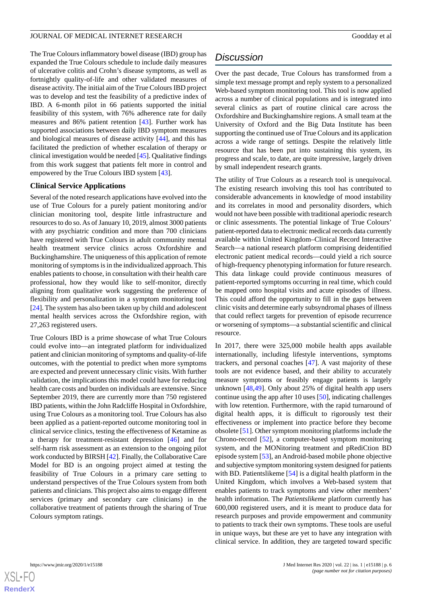The True Colours inflammatory bowel disease (IBD) group has expanded the True Colours schedule to include daily measures of ulcerative colitis and Crohn's disease symptoms, as well as fortnightly quality-of-life and other validated measures of disease activity. The initial aim of the True Colours IBD project was to develop and test the feasibility of a predictive index of IBD. A 6-month pilot in 66 patients supported the initial feasibility of this system, with 76% adherence rate for daily measures and 86% patient retention [[43\]](#page-8-14). Further work has supported associations between daily IBD symptom measures and biological measures of disease activity [[44\]](#page-8-15), and this has facilitated the prediction of whether escalation of therapy or clinical investigation would be needed [[45](#page-8-16)]. Qualitative findings from this work suggest that patients felt more in control and empowered by the True Colours IBD system [[43\]](#page-8-14).

#### **Clinical Service Applications**

Several of the noted research applications have evolved into the use of True Colours for a purely patient monitoring and/or clinician monitoring tool, despite little infrastructure and resources to do so. As of January 10, 2019, almost 3000 patients with any psychiatric condition and more than 700 clinicians have registered with True Colours in adult community mental health treatment service clinics across Oxfordshire and Buckinghamshire. The uniqueness of this application of remote monitoring of symptoms is in the individualized approach. This enables patients to choose, in consultation with their health care professional, how they would like to self-monitor, directly aligning from qualitative work suggesting the preference of flexibility and personalization in a symptom monitoring tool [[24\]](#page-7-16). The system has also been taken up by child and adolescent mental health services across the Oxfordshire region, with 27,263 registered users.

True Colours IBD is a prime showcase of what True Colours could evolve into—an integrated platform for individualized patient and clinician monitoring of symptoms and quality-of-life outcomes, with the potential to predict when more symptoms are expected and prevent unnecessary clinic visits. With further validation, the implications this model could have for reducing health care costs and burden on individuals are extensive. Since September 2019, there are currently more than 750 registered IBD patients, within the John Radcliffe Hospital in Oxfordshire, using True Colours as a monitoring tool. True Colours has also been applied as a patient-reported outcome monitoring tool in clinical service clinics, testing the effectiveness of Ketamine as a therapy for treatment-resistant depression [[46\]](#page-8-17) and for self-harm risk assessment as an extension to the ongoing pilot work conducted by BIRSH [[42\]](#page-8-13). Finally, the Collaborative Care Model for BD is an ongoing project aimed at testing the feasibility of True Colours in a primary care setting to understand perspectives of the True Colours system from both patients and clinicians. This project also aims to engage different services (primary and secondary care clinicians) in the collaborative treatment of patients through the sharing of True Colours symptom ratings.

# *Discussion*

Over the past decade, True Colours has transformed from a simple text message prompt and reply system to a personalized Web-based symptom monitoring tool. This tool is now applied across a number of clinical populations and is integrated into several clinics as part of routine clinical care across the Oxfordshire and Buckinghamshire regions. A small team at the University of Oxford and the Big Data Institute has been supporting the continued use of True Colours and its application across a wide range of settings. Despite the relatively little resource that has been put into sustaining this system, its progress and scale, to date, are quite impressive, largely driven by small independent research grants.

The utility of True Colours as a research tool is unequivocal. The existing research involving this tool has contributed to considerable advancements in knowledge of mood instability and its correlates in mood and personality disorders, which would not have been possible with traditional aperiodic research or clinic assessments. The potential linkage of True Colours' patient-reported data to electronic medical records data currently available within United Kingdom–Clinical Record Interactive Search—a national research platform comprising deidentified electronic patient medical records—could yield a rich source of high-frequency phenotyping information for future research. This data linkage could provide continuous measures of patient-reported symptoms occurring in real time, which could be mapped onto hospital visits and acute episodes of illness. This could afford the opportunity to fill in the gaps between clinic visits and determine early subsyndromal phases of illness that could reflect targets for prevention of episode recurrence or worsening of symptoms—a substantial scientific and clinical resource.

In 2017, there were 325,000 mobile health apps available internationally, including lifestyle interventions, symptoms trackers, and personal coaches [[47\]](#page-8-18). A vast majority of these tools are not evidence based, and their ability to accurately measure symptoms or feasibly engage patients is largely unknown [[48](#page-8-19)[,49](#page-9-0)]. Only about 25% of digital health app users continue using the app after 10 uses [\[50](#page-9-1)], indicating challenges with low retention. Furthermore, with the rapid turnaround of digital health apps, it is difficult to rigorously test their effectiveness or implement into practice before they become obsolete [\[51\]](#page-9-2). Other symptom monitoring platforms include the Chrono-record [\[52](#page-9-3)], a computer-based symptom monitoring system, and the MONitoring treatment and pRediCtion BD episode system [[53\]](#page-9-4), an Android-based mobile phone objective and subjective symptom monitoring system designed for patients with BD. Patientslikeme [\[54](#page-9-5)] is a digital health platform in the United Kingdom, which involves a Web-based system that enables patients to track symptoms and view other members' health information. The *Patientslikeme* platform currently has 600,000 registered users, and it is meant to produce data for research purposes and provide empowerment and community to patients to track their own symptoms. These tools are useful in unique ways, but these are yet to have any integration with clinical service. In addition, they are targeted toward specific

 $XS$  $\cdot$ FC **[RenderX](http://www.renderx.com/)**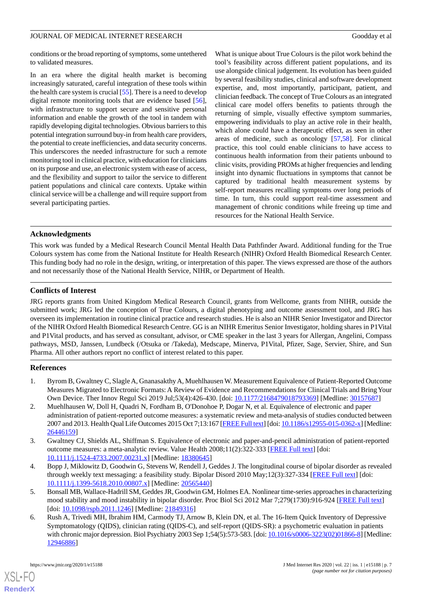conditions or the broad reporting of symptoms, some untethered to validated measures.

In an era where the digital health market is becoming increasingly saturated, careful integration of these tools within the health care system is crucial [\[55](#page-9-6)]. There is a need to develop digital remote monitoring tools that are evidence based [[56\]](#page-9-7), with infrastructure to support secure and sensitive personal information and enable the growth of the tool in tandem with rapidly developing digital technologies. Obvious barriers to this potential integration surround buy-in from health care providers, the potential to create inefficiencies, and data security concerns. This underscores the needed infrastructure for such a remote monitoring tool in clinical practice, with education for clinicians on its purpose and use, an electronic system with ease of access, and the flexibility and support to tailor the service to different patient populations and clinical care contexts. Uptake within clinical service will be a challenge and will require support from several participating parties.

What is unique about True Colours is the pilot work behind the tool's feasibility across different patient populations, and its use alongside clinical judgement. Its evolution has been guided by several feasibility studies, clinical and software development expertise, and, most importantly, participant, patient, and clinician feedback. The concept of True Colours as an integrated clinical care model offers benefits to patients through the returning of simple, visually effective symptom summaries, empowering individuals to play an active role in their health, which alone could have a therapeutic effect, as seen in other areas of medicine, such as oncology [[57,](#page-9-8)[58](#page-9-9)]. For clinical practice, this tool could enable clinicians to have access to continuous health information from their patients unbound to clinic visits, providing PROMs at higher frequencies and lending insight into dynamic fluctuations in symptoms that cannot be captured by traditional health measurement systems by self-report measures recalling symptoms over long periods of time. In turn, this could support real-time assessment and management of chronic conditions while freeing up time and resources for the National Health Service.

# **Acknowledgments**

This work was funded by a Medical Research Council Mental Health Data Pathfinder Award. Additional funding for the True Colours system has come from the National Institute for Health Research (NIHR) Oxford Health Biomedical Research Center. This funding body had no role in the design, writing, or interpretation of this paper. The views expressed are those of the authors and not necessarily those of the National Health Service, NIHR, or Department of Health.

# **Conflicts of Interest**

JRG reports grants from United Kingdom Medical Research Council, grants from Wellcome, grants from NIHR, outside the submitted work; JRG led the conception of True Colours, a digital phenotyping and outcome assessment tool, and JRG has overseen its implementation in routine clinical practice and research studies. He is also an NIHR Senior Investigator and Director of the NIHR Oxford Health Biomedical Research Centre. GG is an NIHR Emeritus Senior Investigator, holding shares in P1Vital and P1Vital products, and has served as consultant, advisor, or CME speaker in the last 3 years for Allergan, Angelini, Compass pathways, MSD, Janssen, Lundbeck (/Otsuka or /Takeda), Medscape, Minerva, P1Vital, Pfizer, Sage, Servier, Shire, and Sun Pharma. All other authors report no conflict of interest related to this paper.

## <span id="page-6-1"></span><span id="page-6-0"></span>**References**

- 1. Byrom B, Gwaltney C, Slagle A, Gnanasakthy A, Muehlhausen W. Measurement Equivalence of Patient-Reported Outcome Measures Migrated to Electronic Formats: A Review of Evidence and Recommendations for Clinical Trials and Bring Your Own Device. Ther Innov Regul Sci 2019 Jul;53(4):426-430. [doi: [10.1177/2168479018793369](http://dx.doi.org/10.1177/2168479018793369)] [Medline: [30157687](http://www.ncbi.nlm.nih.gov/entrez/query.fcgi?cmd=Retrieve&db=PubMed&list_uids=30157687&dopt=Abstract)]
- <span id="page-6-3"></span><span id="page-6-2"></span>2. Muehlhausen W, Doll H, Quadri N, Fordham B, O'Donohoe P, Dogar N, et al. Equivalence of electronic and paper administration of patient-reported outcome measures: a systematic review and meta-analysis of studies conducted between 2007 and 2013. Health Qual Life Outcomes 2015 Oct 7;13:167 [\[FREE Full text\]](https://hqlo.biomedcentral.com/articles/10.1186/s12955-015-0362-x) [doi: [10.1186/s12955-015-0362-x](http://dx.doi.org/10.1186/s12955-015-0362-x)] [Medline: [26446159](http://www.ncbi.nlm.nih.gov/entrez/query.fcgi?cmd=Retrieve&db=PubMed&list_uids=26446159&dopt=Abstract)]
- <span id="page-6-4"></span>3. Gwaltney CJ, Shields AL, Shiffman S. Equivalence of electronic and paper-and-pencil administration of patient-reported outcome measures: a meta-analytic review. Value Health 2008;11(2):322-333 [\[FREE Full text\]](https://linkinghub.elsevier.com/retrieve/pii/S1098-3015(10)60526-8) [doi: [10.1111/j.1524-4733.2007.00231.x\]](http://dx.doi.org/10.1111/j.1524-4733.2007.00231.x) [Medline: [18380645\]](http://www.ncbi.nlm.nih.gov/entrez/query.fcgi?cmd=Retrieve&db=PubMed&list_uids=18380645&dopt=Abstract)
- <span id="page-6-5"></span>4. Bopp J, Miklowitz D, Goodwin G, Stevens W, Rendell J, Geddes J. The longitudinal course of bipolar disorder as revealed through weekly text messaging: a feasibility study. Bipolar Disord 2010 May;12(3):327-334 [\[FREE Full text\]](http://europepmc.org/abstract/MED/20565440) [doi: [10.1111/j.1399-5618.2010.00807.x\]](http://dx.doi.org/10.1111/j.1399-5618.2010.00807.x) [Medline: [20565440\]](http://www.ncbi.nlm.nih.gov/entrez/query.fcgi?cmd=Retrieve&db=PubMed&list_uids=20565440&dopt=Abstract)
- 5. Bonsall MB, Wallace-Hadrill SM, Geddes JR, Goodwin GM, Holmes EA. Nonlinear time-series approaches in characterizing mood stability and mood instability in bipolar disorder. Proc Biol Sci 2012 Mar 7;279(1730):916-924 [\[FREE Full text\]](http://europepmc.org/abstract/MED/21849316) [doi: [10.1098/rspb.2011.1246](http://dx.doi.org/10.1098/rspb.2011.1246)] [Medline: [21849316\]](http://www.ncbi.nlm.nih.gov/entrez/query.fcgi?cmd=Retrieve&db=PubMed&list_uids=21849316&dopt=Abstract)
- 6. Rush A, Trivedi MH, Ibrahim HM, Carmody TJ, Arnow B, Klein DN, et al. The 16-Item Quick Inventory of Depressive Symptomatology (QIDS), clinician rating (QIDS-C), and self-report (QIDS-SR): a psychometric evaluation in patients with chronic major depression. Biol Psychiatry 2003 Sep 1;54(5):573-583. [doi: <u>10.1016/s0006-3223(02)01866-8</u>] [Medline: [12946886](http://www.ncbi.nlm.nih.gov/entrez/query.fcgi?cmd=Retrieve&db=PubMed&list_uids=12946886&dopt=Abstract)]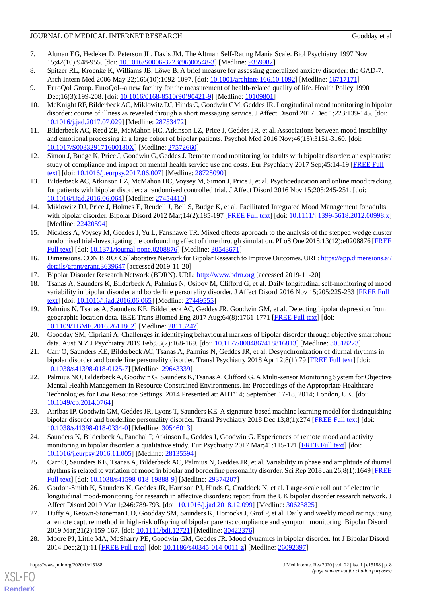- <span id="page-7-0"></span>7. Altman EG, Hedeker D, Peterson JL, Davis JM. The Altman Self-Rating Mania Scale. Biol Psychiatry 1997 Nov 15;42(10):948-955. [doi: [10.1016/S0006-3223\(96\)00548-3\]](http://dx.doi.org/10.1016/S0006-3223(96)00548-3) [Medline: [9359982](http://www.ncbi.nlm.nih.gov/entrez/query.fcgi?cmd=Retrieve&db=PubMed&list_uids=9359982&dopt=Abstract)]
- <span id="page-7-1"></span>8. Spitzer RL, Kroenke K, Williams JB, Löwe B. A brief measure for assessing generalized anxiety disorder: the GAD-7. Arch Intern Med 2006 May 22;166(10):1092-1097. [doi: [10.1001/archinte.166.10.1092](http://dx.doi.org/10.1001/archinte.166.10.1092)] [Medline: [16717171](http://www.ncbi.nlm.nih.gov/entrez/query.fcgi?cmd=Retrieve&db=PubMed&list_uids=16717171&dopt=Abstract)]
- <span id="page-7-3"></span><span id="page-7-2"></span>9. EuroQol Group. EuroQol--a new facility for the measurement of health-related quality of life. Health Policy 1990 Dec;16(3):199-208. [doi: [10.1016/0168-8510\(90\)90421-9](http://dx.doi.org/10.1016/0168-8510(90)90421-9)] [Medline: [10109801\]](http://www.ncbi.nlm.nih.gov/entrez/query.fcgi?cmd=Retrieve&db=PubMed&list_uids=10109801&dopt=Abstract)
- <span id="page-7-4"></span>10. McKnight RF, Bilderbeck AC, Miklowitz DJ, Hinds C, Goodwin GM, Geddes JR. Longitudinal mood monitoring in bipolar disorder: course of illness as revealed through a short messaging service. J Affect Disord 2017 Dec 1;223:139-145. [doi: [10.1016/j.jad.2017.07.029\]](http://dx.doi.org/10.1016/j.jad.2017.07.029) [Medline: [28753472\]](http://www.ncbi.nlm.nih.gov/entrez/query.fcgi?cmd=Retrieve&db=PubMed&list_uids=28753472&dopt=Abstract)
- <span id="page-7-5"></span>11. Bilderbeck AC, Reed ZE, McMahon HC, Atkinson LZ, Price J, Geddes JR, et al. Associations between mood instability and emotional processing in a large cohort of bipolar patients. Psychol Med 2016 Nov;46(15):3151-3160. [doi: [10.1017/S003329171600180X\]](http://dx.doi.org/10.1017/S003329171600180X) [Medline: [27572660](http://www.ncbi.nlm.nih.gov/entrez/query.fcgi?cmd=Retrieve&db=PubMed&list_uids=27572660&dopt=Abstract)]
- <span id="page-7-6"></span>12. Simon J, Budge K, Price J, Goodwin G, Geddes J. Remote mood monitoring for adults with bipolar disorder: an explorative study of compliance and impact on mental health service use and costs. Eur Psychiatry 2017 Sep;45:14-19 [\[FREE Full](https://linkinghub.elsevier.com/retrieve/pii/S0924-9338(17)32909-7) [text](https://linkinghub.elsevier.com/retrieve/pii/S0924-9338(17)32909-7)] [doi: [10.1016/j.eurpsy.2017.06.007\]](http://dx.doi.org/10.1016/j.eurpsy.2017.06.007) [Medline: [28728090](http://www.ncbi.nlm.nih.gov/entrez/query.fcgi?cmd=Retrieve&db=PubMed&list_uids=28728090&dopt=Abstract)]
- <span id="page-7-7"></span>13. Bilderbeck AC, Atkinson LZ, McMahon HC, Voysey M, Simon J, Price J, et al. Psychoeducation and online mood tracking for patients with bipolar disorder: a randomised controlled trial. J Affect Disord 2016 Nov 15;205:245-251. [doi: [10.1016/j.jad.2016.06.064\]](http://dx.doi.org/10.1016/j.jad.2016.06.064) [Medline: [27454410\]](http://www.ncbi.nlm.nih.gov/entrez/query.fcgi?cmd=Retrieve&db=PubMed&list_uids=27454410&dopt=Abstract)
- <span id="page-7-8"></span>14. Miklowitz DJ, Price J, Holmes E, Rendell J, Bell S, Budge K, et al. Facilitated Integrated Mood Management for adults with bipolar disorder. Bipolar Disord 2012 Mar;14(2):185-197 [\[FREE Full text](http://europepmc.org/abstract/MED/22420594)] [doi: [10.1111/j.1399-5618.2012.00998.x](http://dx.doi.org/10.1111/j.1399-5618.2012.00998.x)] [Medline: [22420594](http://www.ncbi.nlm.nih.gov/entrez/query.fcgi?cmd=Retrieve&db=PubMed&list_uids=22420594&dopt=Abstract)]
- <span id="page-7-9"></span>15. Nickless A, Voysey M, Geddes J, Yu L, Fanshawe TR. Mixed effects approach to the analysis of the stepped wedge cluster randomised trial-Investigating the confounding effect of time through simulation. PLoS One 2018;13(12):e0208876 [\[FREE](http://dx.plos.org/10.1371/journal.pone.0208876) [Full text\]](http://dx.plos.org/10.1371/journal.pone.0208876) [doi: [10.1371/journal.pone.0208876](http://dx.doi.org/10.1371/journal.pone.0208876)] [Medline: [30543671](http://www.ncbi.nlm.nih.gov/entrez/query.fcgi?cmd=Retrieve&db=PubMed&list_uids=30543671&dopt=Abstract)]
- <span id="page-7-11"></span><span id="page-7-10"></span>16. Dimensions. CON BRIO: Collaborative Network for Bipolar Research to Improve Outcomes. URL: [https://app.dimensions.ai/](https://app.dimensions.ai/details/grant/grant.3639647) [details/grant/grant.3639647](https://app.dimensions.ai/details/grant/grant.3639647) [accessed 2019-11-20]
- <span id="page-7-12"></span>17. Bipolar Disorder Research Network (BDRN). URL: <http://www.bdrn.org> [accessed 2019-11-20]
- 18. Tsanas A, Saunders K, Bilderbeck A, Palmius N, Osipov M, Clifford G, et al. Daily longitudinal self-monitoring of mood variability in bipolar disorder and borderline personality disorder. J Affect Disord 2016 Nov 15;205:225-233 [\[FREE Full](https://linkinghub.elsevier.com/retrieve/pii/S0165-0327(16)30781-9) [text](https://linkinghub.elsevier.com/retrieve/pii/S0165-0327(16)30781-9)] [doi: [10.1016/j.jad.2016.06.065\]](http://dx.doi.org/10.1016/j.jad.2016.06.065) [Medline: [27449555\]](http://www.ncbi.nlm.nih.gov/entrez/query.fcgi?cmd=Retrieve&db=PubMed&list_uids=27449555&dopt=Abstract)
- <span id="page-7-14"></span><span id="page-7-13"></span>19. Palmius N, Tsanas A, Saunders KE, Bilderbeck AC, Geddes JR, Goodwin GM, et al. Detecting bipolar depression from geographic location data. IEEE Trans Biomed Eng 2017 Aug;64(8):1761-1771 [\[FREE Full text\]](http://europepmc.org/abstract/MED/28113247) [doi: [10.1109/TBME.2016.2611862\]](http://dx.doi.org/10.1109/TBME.2016.2611862) [Medline: [28113247](http://www.ncbi.nlm.nih.gov/entrez/query.fcgi?cmd=Retrieve&db=PubMed&list_uids=28113247&dopt=Abstract)]
- <span id="page-7-17"></span>20. Goodday SM, Cipriani A. Challenges in identifying behavioural markers of bipolar disorder through objective smartphone data. Aust N Z J Psychiatry 2019 Feb;53(2):168-169. [doi: [10.1177/0004867418816813](http://dx.doi.org/10.1177/0004867418816813)] [Medline: [30518223\]](http://www.ncbi.nlm.nih.gov/entrez/query.fcgi?cmd=Retrieve&db=PubMed&list_uids=30518223&dopt=Abstract)
- 21. Carr O, Saunders KE, Bilderbeck AC, Tsanas A, Palmius N, Geddes JR, et al. Desynchronization of diurnal rhythms in bipolar disorder and borderline personality disorder. Transl Psychiatry 2018 Apr 12;8(1):79 [[FREE Full text](http://europepmc.org/abstract/MED/29643339)] [doi: [10.1038/s41398-018-0125-7\]](http://dx.doi.org/10.1038/s41398-018-0125-7) [Medline: [29643339](http://www.ncbi.nlm.nih.gov/entrez/query.fcgi?cmd=Retrieve&db=PubMed&list_uids=29643339&dopt=Abstract)]
- <span id="page-7-16"></span><span id="page-7-15"></span>22. Palmius NO, Bilderbeck A, Goodwin G, Saunders K, Tsanas A, Clifford G. A Multi-sensor Monitoring System for Objective Mental Health Management in Resource Constrained Environments. In: Proceedings of the Appropriate Healthcare Technologies for Low Resource Settings. 2014 Presented at: AHT'14; September 17-18, 2014; London, UK. [doi: [10.1049/cp.2014.0764](http://dx.doi.org/10.1049/cp.2014.0764)]
- <span id="page-7-18"></span>23. Arribas IP, Goodwin GM, Geddes JR, Lyons T, Saunders KE. A signature-based machine learning model for distinguishing bipolar disorder and borderline personality disorder. Transl Psychiatry 2018 Dec 13;8(1):274 [[FREE Full text](http://europepmc.org/abstract/MED/30546013)] [doi: [10.1038/s41398-018-0334-0\]](http://dx.doi.org/10.1038/s41398-018-0334-0) [Medline: [30546013](http://www.ncbi.nlm.nih.gov/entrez/query.fcgi?cmd=Retrieve&db=PubMed&list_uids=30546013&dopt=Abstract)]
- <span id="page-7-19"></span>24. Saunders K, Bilderbeck A, Panchal P, Atkinson L, Geddes J, Goodwin G. Experiences of remote mood and activity monitoring in bipolar disorder: a qualitative study. Eur Psychiatry 2017 Mar;41:115-121 [[FREE Full text\]](http://europepmc.org/abstract/MED/28135594) [doi: [10.1016/j.eurpsy.2016.11.005\]](http://dx.doi.org/10.1016/j.eurpsy.2016.11.005) [Medline: [28135594](http://www.ncbi.nlm.nih.gov/entrez/query.fcgi?cmd=Retrieve&db=PubMed&list_uids=28135594&dopt=Abstract)]
- <span id="page-7-20"></span>25. Carr O, Saunders KE, Tsanas A, Bilderbeck AC, Palmius N, Geddes JR, et al. Variability in phase and amplitude of diurnal rhythms is related to variation of mood in bipolar and borderline personality disorder. Sci Rep 2018 Jan 26;8(1):1649 [\[FREE](http://dx.doi.org/10.1038/s41598-018-19888-9) [Full text\]](http://dx.doi.org/10.1038/s41598-018-19888-9) [doi: [10.1038/s41598-018-19888-9](http://dx.doi.org/10.1038/s41598-018-19888-9)] [Medline: [29374207](http://www.ncbi.nlm.nih.gov/entrez/query.fcgi?cmd=Retrieve&db=PubMed&list_uids=29374207&dopt=Abstract)]
- <span id="page-7-21"></span>26. Gordon-Smith K, Saunders K, Geddes JR, Harrison PJ, Hinds C, Craddock N, et al. Large-scale roll out of electronic longitudinal mood-monitoring for research in affective disorders: report from the UK bipolar disorder research network. J Affect Disord 2019 Mar 1;246:789-793. [doi: [10.1016/j.jad.2018.12.099](http://dx.doi.org/10.1016/j.jad.2018.12.099)] [Medline: [30623825](http://www.ncbi.nlm.nih.gov/entrez/query.fcgi?cmd=Retrieve&db=PubMed&list_uids=30623825&dopt=Abstract)]
- 27. Duffy A, Keown-Stoneman CD, Goodday SM, Saunders K, Horrocks J, Grof P, et al. Daily and weekly mood ratings using a remote capture method in high-risk offspring of bipolar parents: compliance and symptom monitoring. Bipolar Disord 2019 Mar;21(2):159-167. [doi: [10.1111/bdi.12721](http://dx.doi.org/10.1111/bdi.12721)] [Medline: [30422376\]](http://www.ncbi.nlm.nih.gov/entrez/query.fcgi?cmd=Retrieve&db=PubMed&list_uids=30422376&dopt=Abstract)
- 28. Moore PJ, Little MA, McSharry PE, Goodwin GM, Geddes JR. Mood dynamics in bipolar disorder. Int J Bipolar Disord 2014 Dec;2(1):11 [\[FREE Full text\]](http://europepmc.org/abstract/MED/26092397) [doi: [10.1186/s40345-014-0011-z](http://dx.doi.org/10.1186/s40345-014-0011-z)] [Medline: [26092397](http://www.ncbi.nlm.nih.gov/entrez/query.fcgi?cmd=Retrieve&db=PubMed&list_uids=26092397&dopt=Abstract)]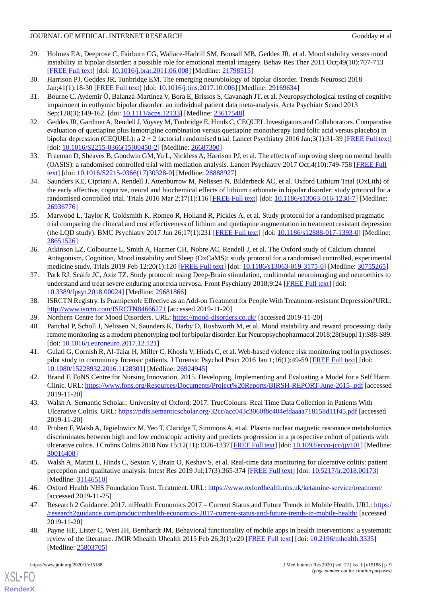- <span id="page-8-0"></span>29. Holmes EA, Deeprose C, Fairburn CG, Wallace-Hadrill SM, Bonsall MB, Geddes JR, et al. Mood stability versus mood instability in bipolar disorder: a possible role for emotional mental imagery. Behav Res Ther 2011 Oct;49(10):707-713 [[FREE Full text](https://linkinghub.elsevier.com/retrieve/pii/S0005-7967(11)00129-X)] [doi: [10.1016/j.brat.2011.06.008](http://dx.doi.org/10.1016/j.brat.2011.06.008)] [Medline: [21798515\]](http://www.ncbi.nlm.nih.gov/entrez/query.fcgi?cmd=Retrieve&db=PubMed&list_uids=21798515&dopt=Abstract)
- <span id="page-8-2"></span><span id="page-8-1"></span>30. Harrison PJ, Geddes JR, Tunbridge EM. The emerging neurobiology of bipolar disorder. Trends Neurosci 2018 Jan;41(1):18-30 [\[FREE Full text\]](https://linkinghub.elsevier.com/retrieve/pii/S0166-2236(17)30212-6) [doi: [10.1016/j.tins.2017.10.006](http://dx.doi.org/10.1016/j.tins.2017.10.006)] [Medline: [29169634](http://www.ncbi.nlm.nih.gov/entrez/query.fcgi?cmd=Retrieve&db=PubMed&list_uids=29169634&dopt=Abstract)]
- 31. Bourne C, Aydemir Ö, Balanzá-Martínez V, Bora E, Brissos S, Cavanagh JT, et al. Neuropsychological testing of cognitive impairment in euthymic bipolar disorder: an individual patient data meta-analysis. Acta Psychiatr Scand 2013 Sep;128(3):149-162. [doi: [10.1111/acps.12133](http://dx.doi.org/10.1111/acps.12133)] [Medline: [23617548\]](http://www.ncbi.nlm.nih.gov/entrez/query.fcgi?cmd=Retrieve&db=PubMed&list_uids=23617548&dopt=Abstract)
- <span id="page-8-3"></span>32. Geddes JR, Gardiner A, Rendell J, Voysey M, Tunbridge E, Hinds C, CEQUEL Investigators and Collaborators. Comparative evaluation of quetiapine plus lamotrigine combination versus quetiapine monotherapy (and folic acid versus placebo) in bipolar depression (CEQUEL): a  $2 \times 2$  factorial randomised trial. Lancet Psychiatry 2016 Jan;3(1):31-39 [\[FREE Full text](https://linkinghub.elsevier.com/retrieve/pii/S2215-0366(15)00450-2)] [doi: [10.1016/S2215-0366\(15\)00450-2](http://dx.doi.org/10.1016/S2215-0366(15)00450-2)] [Medline: [26687300\]](http://www.ncbi.nlm.nih.gov/entrez/query.fcgi?cmd=Retrieve&db=PubMed&list_uids=26687300&dopt=Abstract)
- <span id="page-8-5"></span><span id="page-8-4"></span>33. Freeman D, Sheaves B, Goodwin GM, Yu L, Nickless A, Harrison PJ, et al. The effects of improving sleep on mental health (OASIS): a randomised controlled trial with mediation analysis. Lancet Psychiatry 2017 Oct;4(10):749-758 [\[FREE Full](https://linkinghub.elsevier.com/retrieve/pii/S2215-0366(17)30328-0) [text](https://linkinghub.elsevier.com/retrieve/pii/S2215-0366(17)30328-0)] [doi: [10.1016/S2215-0366\(17\)30328-0\]](http://dx.doi.org/10.1016/S2215-0366(17)30328-0) [Medline: [28888927](http://www.ncbi.nlm.nih.gov/entrez/query.fcgi?cmd=Retrieve&db=PubMed&list_uids=28888927&dopt=Abstract)]
- <span id="page-8-6"></span>34. Saunders KE, Cipriani A, Rendell J, Attenburrow M, Nelissen N, Bilderbeck AC, et al. Oxford Lithium Trial (OxLith) of the early affective, cognitive, neural and biochemical effects of lithium carbonate in bipolar disorder: study protocol for a randomised controlled trial. Trials 2016 Mar 2;17(1):116 [[FREE Full text](https://trialsjournal.biomedcentral.com/articles/10.1186/s13063-016-1230-7)] [doi: [10.1186/s13063-016-1230-7\]](http://dx.doi.org/10.1186/s13063-016-1230-7) [Medline: [26936776](http://www.ncbi.nlm.nih.gov/entrez/query.fcgi?cmd=Retrieve&db=PubMed&list_uids=26936776&dopt=Abstract)]
- <span id="page-8-7"></span>35. Marwood L, Taylor R, Goldsmith K, Romeo R, Holland R, Pickles A, et al. Study protocol for a randomised pragmatic trial comparing the clinical and cost effectiveness of lithium and quetiapine augmentation in treatment resistant depression (the LQD study). BMC Psychiatry 2017 Jun 26;17(1):231 [\[FREE Full text](https://bmcpsychiatry.biomedcentral.com/articles/10.1186/s12888-017-1393-0)] [doi: [10.1186/s12888-017-1393-0\]](http://dx.doi.org/10.1186/s12888-017-1393-0) [Medline: [28651526](http://www.ncbi.nlm.nih.gov/entrez/query.fcgi?cmd=Retrieve&db=PubMed&list_uids=28651526&dopt=Abstract)]
- <span id="page-8-8"></span>36. Atkinson LZ, Colbourne L, Smith A, Harmer CH, Nobre AC, Rendell J, et al. The Oxford study of Calcium channel Antagonism, Cognition, Mood instability and Sleep (OxCaMS): study protocol for a randomised controlled, experimental medicine study. Trials 2019 Feb 12;20(1):120 [\[FREE Full text\]](https://trialsjournal.biomedcentral.com/articles/10.1186/s13063-019-3175-0) [doi: [10.1186/s13063-019-3175-0\]](http://dx.doi.org/10.1186/s13063-019-3175-0) [Medline: [30755265\]](http://www.ncbi.nlm.nih.gov/entrez/query.fcgi?cmd=Retrieve&db=PubMed&list_uids=30755265&dopt=Abstract)
- <span id="page-8-10"></span><span id="page-8-9"></span>37. Park RJ, Scaife JC, Aziz TZ. Study protocol: using Deep-Brain stimulation, multimodal neuroimaging and neuroethics to understand and treat severe enduring anorexia nervosa. Front Psychiatry 2018;9:24 [[FREE Full text](https://doi.org/10.3389/fpsyt.2018.00024)] [doi: [10.3389/fpsyt.2018.00024\]](http://dx.doi.org/10.3389/fpsyt.2018.00024) [Medline: [29681866\]](http://www.ncbi.nlm.nih.gov/entrez/query.fcgi?cmd=Retrieve&db=PubMed&list_uids=29681866&dopt=Abstract)
- <span id="page-8-11"></span>38. ISRCTN Registry. Is Pramipexole Effective as an Add-on Treatment for People With Treatment-resistant Depression?URL: <http://www.isrctn.com/ISRCTN84666271> [accessed 2019-11-20]
- <span id="page-8-12"></span>39. Northern Centre for Mood Disorders. URL: <https://mood-disorders.co.uk/>[accessed 2019-11-20]
- 40. Panchal P, Scholl J, Nelissen N, Saunders K, Darby D, Rushworth M, et al. Mood instability and reward processing: daily remote monitoring as a modern phenotyping tool for bipolar disorder. Eur Neuropsychopharmacol 2018;28(Suppl 1):S88-S89. [doi: [10.1016/j.euroneuro.2017.12.121\]](http://dx.doi.org/10.1016/j.euroneuro.2017.12.121)
- <span id="page-8-14"></span><span id="page-8-13"></span>41. Gulati G, Cornish R, Al-Taiar H, Miller C, Khosla V, Hinds C, et al. Web-based violence risk monitoring tool in psychoses: pilot study in community forensic patients. J Forensic Psychol Pract 2016 Jan 1;16(1):49-59 [[FREE Full text](http://europepmc.org/abstract/MED/26924945)] [doi: [10.1080/15228932.2016.1128301\]](http://dx.doi.org/10.1080/15228932.2016.1128301) [Medline: [26924945\]](http://www.ncbi.nlm.nih.gov/entrez/query.fcgi?cmd=Retrieve&db=PubMed&list_uids=26924945&dopt=Abstract)
- <span id="page-8-15"></span>42. Brand F. FoNS Centre for Nursing Innovation. 2015. Developing, Implementing and Evaluating a Model for a Self Harm Clinic. URL:<https://www.fons.org/Resources/Documents/Project%20Reports/BIRSH-REPORT-June-2015-.pdf>[accessed 2019-11-20]
- 43. Walsh A. Semantic Scholar.: University of Oxford; 2017. TrueColours: Real Time Data Collection in Patients With Ulcerative Colitis. URL:<https://pdfs.semanticscholar.org/32cc/acc043c3060f8c404efdaaaa718158d11f45.pdf>[accessed 2019-11-20]
- <span id="page-8-17"></span><span id="page-8-16"></span>44. Probert F, Walsh A, Jagielowicz M, Yeo T, Claridge T, Simmons A, et al. Plasma nuclear magnetic resonance metabolomics discriminates between high and low endoscopic activity and predicts progression in a prospective cohort of patients with ulcerative colitis. J Crohns Colitis 2018 Nov 15;12(11):1326-1337 [\[FREE Full text\]](http://europepmc.org/abstract/MED/30016408) [doi: [10.1093/ecco-jcc/jjy101\]](http://dx.doi.org/10.1093/ecco-jcc/jjy101) [Medline: [30016408](http://www.ncbi.nlm.nih.gov/entrez/query.fcgi?cmd=Retrieve&db=PubMed&list_uids=30016408&dopt=Abstract)]
- <span id="page-8-18"></span>45. Walsh A, Matini L, Hinds C, Sexton V, Brain O, Keshav S, et al. Real-time data monitoring for ulcerative colitis: patient perception and qualitative analysis. Intest Res 2019 Jul;17(3):365-374 [\[FREE Full text\]](https://irjournal.org/journal/view.php?doi=10.5217/ir.2018.00173) [doi: [10.5217/ir.2018.00173\]](http://dx.doi.org/10.5217/ir.2018.00173) [Medline: [31146510](http://www.ncbi.nlm.nih.gov/entrez/query.fcgi?cmd=Retrieve&db=PubMed&list_uids=31146510&dopt=Abstract)]
- <span id="page-8-19"></span>46. Oxford Health NHS Foundation Trust. Treatment. URL: <https://www.oxfordhealth.nhs.uk/ketamine-service/treatment/> [accessed 2019-11-25]
- 47. Research 2 Guidance. 2017. mHealth Economics 2017 Current Status and Future Trends in Mobile Health. URL: [https:/](https://research2guidance.com/product/mhealth-economics-2017-current-status-and-future-trends-in-mobile-health/) [/research2guidance.com/product/mhealth-economics-2017-current-status-and-future-trends-in-mobile-health/](https://research2guidance.com/product/mhealth-economics-2017-current-status-and-future-trends-in-mobile-health/) [accessed 2019-11-20]
- 48. Payne HE, Lister C, West JH, Bernhardt JM. Behavioral functionality of mobile apps in health interventions: a systematic review of the literature. JMIR Mhealth Uhealth 2015 Feb 26;3(1):e20 [\[FREE Full text\]](https://mhealth.jmir.org/2015/1/e20/) [doi: [10.2196/mhealth.3335\]](http://dx.doi.org/10.2196/mhealth.3335) [Medline: [25803705](http://www.ncbi.nlm.nih.gov/entrez/query.fcgi?cmd=Retrieve&db=PubMed&list_uids=25803705&dopt=Abstract)]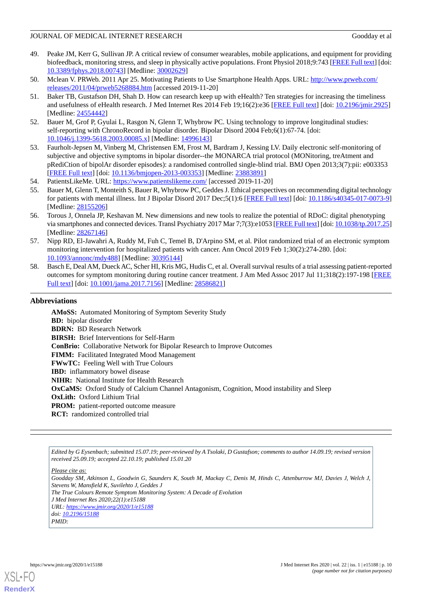- <span id="page-9-0"></span>49. Peake JM, Kerr G, Sullivan JP. A critical review of consumer wearables, mobile applications, and equipment for providing biofeedback, monitoring stress, and sleep in physically active populations. Front Physiol 2018;9:743 [[FREE Full text](https://doi.org/10.3389/fphys.2018.00743)] [doi: [10.3389/fphys.2018.00743\]](http://dx.doi.org/10.3389/fphys.2018.00743) [Medline: [30002629\]](http://www.ncbi.nlm.nih.gov/entrez/query.fcgi?cmd=Retrieve&db=PubMed&list_uids=30002629&dopt=Abstract)
- <span id="page-9-2"></span><span id="page-9-1"></span>50. Mclean V. PRWeb. 2011 Apr 25. Motivating Patients to Use Smartphone Health Apps. URL: [http://www.prweb.com/](http://www.prweb.com/releases/2011/04/prweb5268884.htm) [releases/2011/04/prweb5268884.htm](http://www.prweb.com/releases/2011/04/prweb5268884.htm) [accessed 2019-11-20]
- 51. Baker TB, Gustafson DH, Shah D. How can research keep up with eHealth? Ten strategies for increasing the timeliness and usefulness of eHealth research. J Med Internet Res 2014 Feb 19;16(2):e36 [\[FREE Full text\]](https://www.jmir.org/2014/2/e36/) [doi: [10.2196/jmir.2925\]](http://dx.doi.org/10.2196/jmir.2925) [Medline: [24554442](http://www.ncbi.nlm.nih.gov/entrez/query.fcgi?cmd=Retrieve&db=PubMed&list_uids=24554442&dopt=Abstract)]
- <span id="page-9-4"></span><span id="page-9-3"></span>52. Bauer M, Grof P, Gyulai L, Rasgon N, Glenn T, Whybrow PC. Using technology to improve longitudinal studies: self-reporting with ChronoRecord in bipolar disorder. Bipolar Disord 2004 Feb;6(1):67-74. [doi: [10.1046/j.1399-5618.2003.00085.x\]](http://dx.doi.org/10.1046/j.1399-5618.2003.00085.x) [Medline: [14996143\]](http://www.ncbi.nlm.nih.gov/entrez/query.fcgi?cmd=Retrieve&db=PubMed&list_uids=14996143&dopt=Abstract)
- <span id="page-9-5"></span>53. Faurholt-Jepsen M, Vinberg M, Christensen EM, Frost M, Bardram J, Kessing LV. Daily electronic self-monitoring of subjective and objective symptoms in bipolar disorder--the MONARCA trial protocol (MONitoring, treAtment and pRediCtion of bipolAr disorder episodes): a randomised controlled single-blind trial. BMJ Open 2013;3(7):pii: e003353 [[FREE Full text](http://bmjopen.bmj.com/cgi/pmidlookup?view=long&pmid=23883891)] [doi: [10.1136/bmjopen-2013-003353](http://dx.doi.org/10.1136/bmjopen-2013-003353)] [Medline: [23883891](http://www.ncbi.nlm.nih.gov/entrez/query.fcgi?cmd=Retrieve&db=PubMed&list_uids=23883891&dopt=Abstract)]
- <span id="page-9-6"></span>54. PatientsLikeMe. URL: <https://www.patientslikeme.com/>[accessed 2019-11-20]
- <span id="page-9-7"></span>55. Bauer M, Glenn T, Monteith S, Bauer R, Whybrow PC, Geddes J. Ethical perspectives on recommending digital technology for patients with mental illness. Int J Bipolar Disord 2017 Dec;5(1):6 [[FREE Full text](http://europepmc.org/abstract/MED/28155206)] [doi: [10.1186/s40345-017-0073-9](http://dx.doi.org/10.1186/s40345-017-0073-9)] [Medline: [28155206](http://www.ncbi.nlm.nih.gov/entrez/query.fcgi?cmd=Retrieve&db=PubMed&list_uids=28155206&dopt=Abstract)]
- <span id="page-9-8"></span>56. Torous J, Onnela JP, Keshavan M. New dimensions and new tools to realize the potential of RDoC: digital phenotyping via smartphones and connected devices. Transl Psychiatry 2017 Mar 7;7(3):e1053 [\[FREE Full text](http://europepmc.org/abstract/MED/28267146)] [doi: [10.1038/tp.2017.25\]](http://dx.doi.org/10.1038/tp.2017.25) [Medline: [28267146](http://www.ncbi.nlm.nih.gov/entrez/query.fcgi?cmd=Retrieve&db=PubMed&list_uids=28267146&dopt=Abstract)]
- <span id="page-9-9"></span>57. Nipp RD, El-Jawahri A, Ruddy M, Fuh C, Temel B, D'Arpino SM, et al. Pilot randomized trial of an electronic symptom monitoring intervention for hospitalized patients with cancer. Ann Oncol 2019 Feb 1;30(2):274-280. [doi: [10.1093/annonc/mdy488](http://dx.doi.org/10.1093/annonc/mdy488)] [Medline: [30395144](http://www.ncbi.nlm.nih.gov/entrez/query.fcgi?cmd=Retrieve&db=PubMed&list_uids=30395144&dopt=Abstract)]
- 58. Basch E, Deal AM, Dueck AC, Scher HI, Kris MG, Hudis C, et al. Overall survival results of a trial assessing patient-reported outcomes for symptom monitoring during routine cancer treatment. J Am Med Assoc 2017 Jul 11;318(2):197-198 [[FREE](http://europepmc.org/abstract/MED/28586821) [Full text\]](http://europepmc.org/abstract/MED/28586821) [doi: [10.1001/jama.2017.7156\]](http://dx.doi.org/10.1001/jama.2017.7156) [Medline: [28586821\]](http://www.ncbi.nlm.nih.gov/entrez/query.fcgi?cmd=Retrieve&db=PubMed&list_uids=28586821&dopt=Abstract)

# **Abbreviations**

**AMoSS:** Automated Monitoring of Symptom Severity Study **BD:** bipolar disorder **BDRN:** BD Research Network **BIRSH:** Brief Interventions for Self-Harm **ConBrio:** Collaborative Network for Bipolar Research to Improve Outcomes **FIMM:** Facilitated Integrated Mood Management **FWwTC:** Feeling Well with True Colours **IBD:** inflammatory bowel disease **NIHR:** National Institute for Health Research **OxCaMS:** Oxford Study of Calcium Channel Antagonism, Cognition, Mood instability and Sleep **OxLith:** Oxford Lithium Trial **PROM:** patient-reported outcome measure **RCT:** randomized controlled trial

*Edited by G Eysenbach; submitted 15.07.19; peer-reviewed by A Tsolaki, D Gustafson; comments to author 14.09.19; revised version received 25.09.19; accepted 22.10.19; published 15.01.20*

*Please cite as:*

*Goodday SM, Atkinson L, Goodwin G, Saunders K, South M, Mackay C, Denis M, Hinds C, Attenburrow MJ, Davies J, Welch J, Stevens W, Mansfield K, Suvilehto J, Geddes J The True Colours Remote Symptom Monitoring System: A Decade of Evolution J Med Internet Res 2020;22(1):e15188 URL: <https://www.jmir.org/2020/1/e15188> doi: [10.2196/15188](http://dx.doi.org/10.2196/15188) PMID:*



**[RenderX](http://www.renderx.com/)**